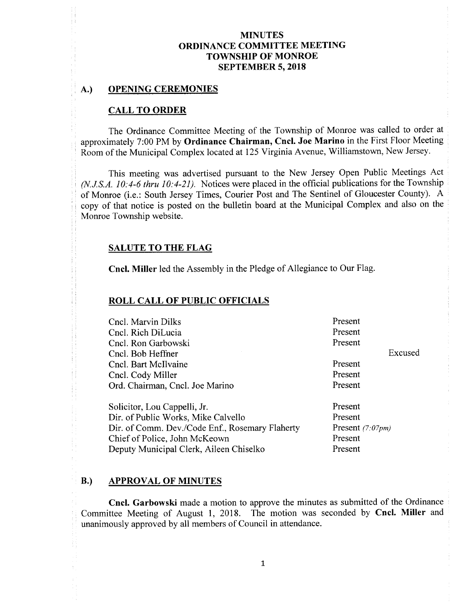#### A.) OPENING CEREMONIES

#### CALL TO ORDER

The Ordinance Committee Meeting of the Township of Monroe was called to order at approximately 7:00 PM by Ordinance Chairman, Cncl. Joe Marino in the First Floor Meeting Room of the Municipal Complex located at 125 Virginia Avenue, Williamstown, New Jersey.

This meeting was advertised pursuant to the New Jersey Open Public Meetings Act  $(N.J.S.A. 10: 4-6$  thru  $10: 4-21$ ). Notices were placed in the official publications for the Township of Monroe (i.e.: South Jersey Times, Courier Post and The Sentinel of Gloucester County). A copy of that notice is posted on the bulletin board at the Municipal Complex and also on the Monroe Township website.

#### SALUTE TO THE FLAG

Cncl. Miller led the Assembly in the Pledge of Allegiance to Our Flag.

#### ROLL CALL OF PUBLIC OFFICIALS

| Cncl. Marvin Dilks                              | Present            |  |
|-------------------------------------------------|--------------------|--|
| Cncl. Rich DiLucia                              | Present            |  |
| Cncl. Ron Garbowski                             | Present            |  |
| Cncl. Bob Heffner                               | Excused            |  |
| Cncl. Bart McIlvaine                            | Present            |  |
| Present<br>Cncl. Cody Miller                    |                    |  |
| Present<br>Ord. Chairman, Cncl. Joe Marino      |                    |  |
| Solicitor, Lou Cappelli, Jr.                    | Present            |  |
| Dir. of Public Works, Mike Calvello             | Present            |  |
| Dir. of Comm. Dev./Code Enf., Rosemary Flaherty | Present $(7.07pm)$ |  |
| Chief of Police, John McKeown                   | Present            |  |
| Deputy Municipal Clerk, Aileen Chiselko         | Present            |  |

#### B.) APPROVAL OF MINUTES

Cncl. Garbowski made a motion to approve the minutes as submitted of the Ordinance Committee Meeting of August 1, 2018. The motion was seconded by Cncl. Miller and unanimously approved by all members of Council in attendance.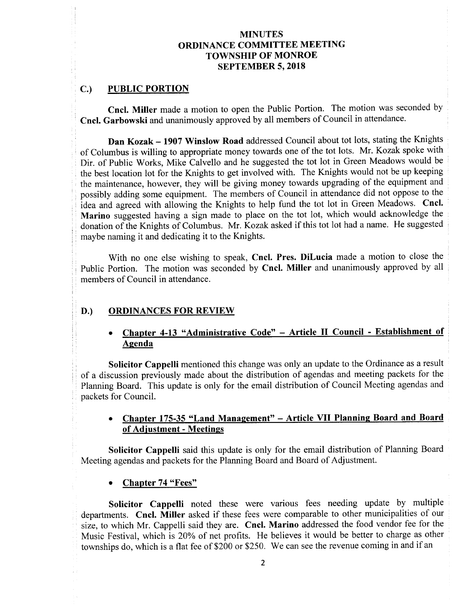## C.) PUBLIC PORTION

Cncl. Miller made <sup>a</sup> motion to open the Public Portion. The motion was seconded by Cncl. Garbowski and unanimously approved by all members of Council in attendance.

Dan Kozak— 1907 Winslow Road addressed Council about tot lots, stating the Knights of Columbus is willing to appropriate money towards one of the tot lots. Mr. Kozak spoke with Dir. of Public Works, Mike Calvello and he suggested the tot lot in Green Meadows would be the best location lot for the Knights to get involved with. The Knights would not be up keeping the maintenance, however, they will be giving money towards upgrading of the equipment and possibly adding some equipment. The members of Council in attendance did not oppose to the idea and agreed with allowing the Knights to help fund the tot lot in Green Meadows. Cncl. Marino suggested having a sign made to place on the tot lot, which would acknowledge the donation of the Knights of Columbus. Mr. Kozak asked if this tot lot had <sup>a</sup> name. He suggested maybe naming it and dedicating it to the Knights.

With no one else wishing to speak, Cncl. Pres. DiLucia made a motion to close the Public Portion. The motion was seconded by Cncl. Miller and unanimously approved by all members of Council in attendance.

#### D.) ORDINANCES FOR REVIEW

# Chapter 4-13 "Administrative Code" – Article II Council - Establishment of Agenda

Solicitor Cappelli mentioned this change was only an update to the Ordinance as a result of <sup>a</sup> discussion previously made about the distribution of agendas and meeting packets for the Planning Board. This update is only for the email distribution of Council Meeting agendas and packets for Council.

## Chapter 175-35 "Land Management" - Article VII Planning Board and Board of Adjustment - Meetings

Solicitor Cappelli said this update is only for the email distribution of Planning Board Meeting agendas and packets for the Planning Board and Board of Adjustment.

#### Chapter 74 "Fees"

Solicitor Cappelli noted these were various fees needing update by multiple departments. Cncl. Miller asked if these fees were comparable to other municipalities of our size, to which Mr. Cappelli said they are. Cncl. Marino addressed the food vendor fee for the Music Festival, which is 20% of net profits. He believes it would be better to charge as other townships do, which is a flat fee of \$200 or \$250. We can see the revenue coming in and if an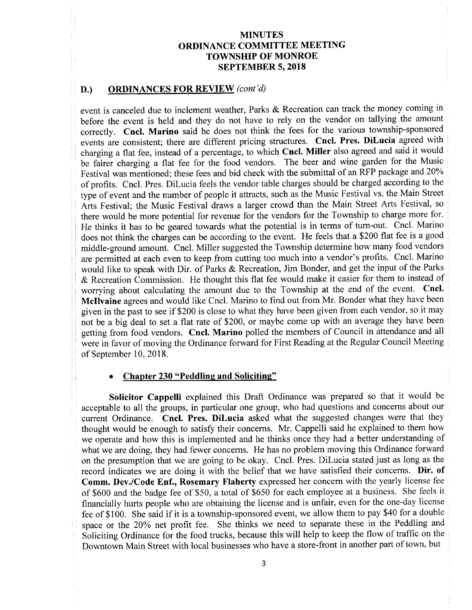#### D.) ORDINANCES FOR REVIEW (cont'd)

event is canceled due to inclement weather, Parks & Recreation can track the money coming in before the event is held and they do not have to rely on the vendor on tallying the amount correctly. Cncl. Marino said he does not think the fees for the various township-sponsored events are consistent; there are different pricing structures. Cncl. Pres. DiLucia agreed with charging <sup>a</sup> flat fee, instead of <sup>a</sup> percentage, to which Cncl. Miller also agreed and said it would be fairer charging <sup>a</sup> flat fee for the food vendors. The beer and wine garden for the Music Festival was mentioned; these fees and bid check with the submittal of an RFP package and 20% of profits. Cncl. Pres. DiLucia feels the vendor table charges should be charged according to the type of event and the number of people it attracts, such as the Music Festival vs. the Main Street Arts Festival; the Music Festival draws a larger crowd than the Main Street Arts Festival, so there would be more potential for revenue for the vendors for the Township to charge more for. He thinks it has to be geared towards what the potential is in terms of turn-out. Cncl. Marino does not think the charges can be according to the event. He feels that a \$200 flat fee is a good middle-ground amount. Cncl. Miller suggested the Township determine how many food vendors are permitted at each even to keep from cutting too much into a vendor's profits. Cncl. Marino would like to speak with Dir. of Parks & Recreation, Jim Bonder, and get the input of the Parks Recreation Commission. He thought this flat fee would make it easier for them to instead of worrying about calculating the amount due to the Township at the end of the event. Cncl. Mcllvaine agrees and would like Cncl. Marino to find out from Mr. Bonder what they have been given in the past to see if\$200 is close to what they have been given from each vendor, so it may not be a big deal to set a flat rate of \$200, or maybe come up with an average they have been getting from food vendors. Cncl. Marino polled the members of Council in attendance and all were in favor of moving the Ordinance forward for First Reading at the Regular Council Meeting of September 10, 2018.

# Chapter 230 "Peddling and Soliciting"

Solicitor Cappelli explained this Draft Ordinance was prepared so that it would be acceptable to all the groups, in particular one group, who had questions and concerns about our current Ordinance. Cncl. Pres. DiLucia asked what the suggested changes were that they thought would be enough to satisfy their concerns. Mr. Cappelli said he explained to them how we operate and how this is implemented and he thinks once they had a better understanding of what we are doing, they had fewer concerns. He has no problem moving this Ordinance forward on the presumption that we are going to be okay. Cncl. Pres. DiLucia stated just as long as the record indicates we are doing it with the belief that we have satisfied their concerns. Dir. of Comm. Dev./Code Enf., Rosemary Flaherty expressed her concern with the yearly license fee of \$600 and the badge fee of \$50, a total of \$650 for each employee at a business. She feels it financially hurts people who are obtaining the license and is unfair, even for the one- day license fee of \$100. She said if it is a township-sponsored event, we allow them to pay \$40 for a double space or the 20% net profit fee. She thinks we need to separate these in the Peddling and Soliciting Ordinance for the food trucks, because this will help to keep the flow of traffic on the Downtown Main Street with local businesses who have a store- front in another part of town, but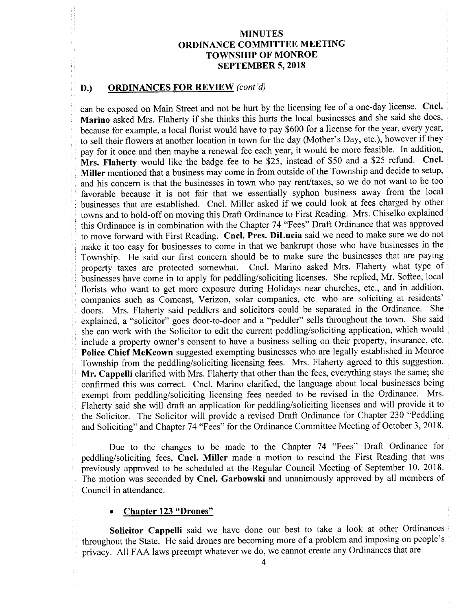#### D.) ORDINANCES FOR REVIEW (cont'd)

can be exposed on Main Street and not be hurt by the licensing fee of <sup>a</sup> one-day license. Cncl. Marino asked Mrs. Flaherty if she thinks this hurts the local businesses and she said she does, because for example, a local florist would have to pay \$600 for a license for the year, every year, to sell their flowers at another location in town for the day (Mother's Day, etc.), however if they pay for it once and then maybe <sup>a</sup> renewal fee each year, it would be more feasible. In addition, Mrs. Flaherty would like the badge fee to be \$25, instead of \$50 and a \$25 refund. Cncl. Miller mentioned that a business may come in from outside of the Township and decide to setup, and his concern is that the businesses in town who pay rent/taxes, so we do not want to be too favorable because it is not fair that we essentially syphon business away from the local businesses that are established. Cncl. Miller asked if we could look at fees charged by other towns and to hold-off on moving this Draft Ordinance to First Reading. Mrs. Chiselko explained this Ordinance is in combination with the Chapter 74 " Fees" Draft Ordinance that was approved to move forward with First Reading. Cncl. Pres. DiLucia said we need to make sure we do not make it too easy for businesses to come in that we bankrupt those who have businesses in the Township. He said our first concern should be to make sure the businesses that are paying property taxes are protected somewhat. Cncl. Marino asked Mrs. Flaherty what type of Cncl. Marino asked Mrs. Flaherty what type of businesses have come in to apply for peddling/soliciting licenses. She replied, Mr. Softee, local florists who want to get more exposure during Holidays near churches, etc., and in addition, companies such as Comcast, Verizon, solar companies, etc. who are soliciting at residents' doors. Mrs. Flaherty said peddlers and solicitors could be separated in the Ordinance. She doors. Mrs. Flaherty said peddlers and solicitors could be separated in the Ordinance. explained, a "solicitor" goes door-to-door and a "peddler" sells throughout the town. She said she can work with the Solicitor to edit the current peddling/soliciting application, which would include a property owner's consent to have a business selling on their property, insurance, etc. Police Chief McKeown suggested exempting businesses who are legally established in Monroe Township from the peddling/soliciting licensing fees. Mrs. Flaherty agreed to this suggestion. Mr. Cappelli clarified with Mrs. Flaherty that other than the fees, everything stays the same; she confirmed this was correct. Cncl. Marino clarified, the language about local businesses being exempt from peddling/soliciting licensing fees needed to be revised in the Ordinance. Mrs. Flaherty said she will draft an application for peddling/soliciting licenses and will provide it to the Solicitor. The Solicitor will provide a revised Draft Ordinance for Chapter 230 "Peddling and Soliciting" and Chapter 74 "Fees" for the Ordinance Committee Meeting of October 3, 2018.

Due to the changes to be made to the Chapter 74 "Fees" Draft Ordinance for peddling/soliciting fees, Cncl. Miller made a motion to rescind the First Reading that was previously approved to be scheduled at the Regular Council Meeting of September 10, 2018. The motion was seconded by Cncl. Garbowski and unanimously approved by all members of Council in attendance.

#### Chapter 123 "Drones"

Solicitor Cappelli said we have done our best to take a look at other Ordinances throughout the State. He said drones are becoming more of a problem and imposing on people's privacy. All FAA laws preempt whatever we do, we cannot create any Ordinances that are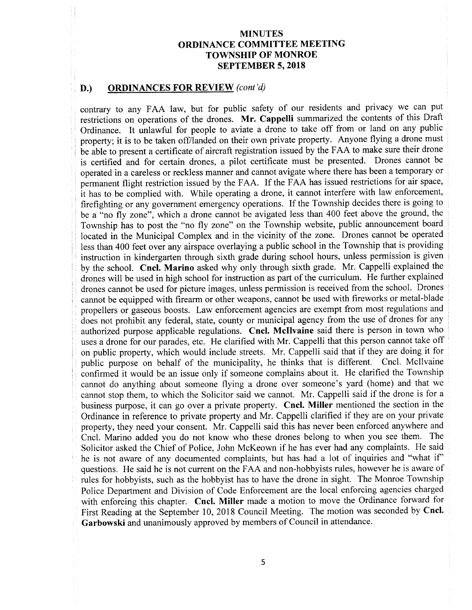# D.) ORDINANCES FOR REVIEW (cont'd)

contrary to any FAA law, but for public safety of our residents and privacy we can put restrictions on operations of the drones. Mr. Cappelli summarized the contents of this Draft Ordinance. It unlawful for people to aviate <sup>a</sup> drone to take off from or land on any public property; it is to be taken off/landed on their own private property. Anyone flying <sup>a</sup> drone must be able to present <sup>a</sup> certificate of aircraft registration issued by the FAA to make sure their drone is certified and for certain drones, <sup>a</sup> pilot certificate must be presented. Drones cannot be operated in a careless or reckless manner and cannot avigate where there has been a temporary or permanent flight restriction issued by the FAA. If the FAA has issued restrictions for air space, it has to be complied with. While operating <sup>a</sup> drone, it cannot interfere with law enforcement, firefighting or any government emergency operations. If the Township decides there is going to be a "no fly zone", which a drone cannot be avigated less than 400 feet above the ground, the Township has to post the "no fly zone" on the Township website, public announcement board located in the Municipal Complex and in the vicinity of the zone. Drones cannot be operated less than 400 feet over any airspace overlaying a public school in the Township that is providing instruction in kindergarten through sixth grade during school hours, unless permission is given by the school. Cncl. Marino asked why only through sixth grade. Mr. Cappelli explained the drones will be used in high school for instruction as part of the curriculum. He further explained drones cannot be used for picture images, unless permission is received from the school. Drones cannot be equipped with firearm or other weapons, cannot be used with fireworks or metal-blade propellers or gaseous boosts. Law enforcement agencies are exempt from most regulations and does not prohibit any federal, state, county or municipal agency from the use of drones for any authorized purpose applicable regulations. Cncl. Mcllvaine said there is person in town who uses <sup>a</sup> drone for our parades, etc. He clarified with Mr. Cappelli that this person cannot take off on public property, which would include streets. Mr. Cappelli said that if they are doing it for public purpose on behalf of the municipality, he thinks that is different. Cncl. Mcllvaine confirmed it would be an issue only if someone complains about it. He clarified the Township cannot do anything about someone flying a drone over someone's yard (home) and that we cannot stop them, to which the Solicitor said we cannot. Mr. Cappelli said if the drone is for <sup>a</sup> business purpose, it can go over <sup>a</sup> private property. Cncl. Miller mentioned the section in the Ordinance in reference to private property and Mr. Cappelli clarified if they are on your private property, they need your consent. Mr. Cappelli said this has never been enforced anywhere and Cncl. Marino added you do not know who these drones belong to when you see them. The Solicitor asked the Chief of Police, John McKeown if he has ever had any complaints. He said he is not aware of any documented complaints, but has had <sup>a</sup> lot of inquiries and " what if' questions. He said he is not current on the FAA and non-hobbyists rules, however he is aware of rules for hobbyists, such as the hobbyist has to have the drone in sight. The Monroe Township Police Department and Division of Code Enforcement are the local enforcing agencies charged with enforcing this chapter. Cncl. Miller made <sup>a</sup> motion to move the Ordinance forward for First Reading at the September 10, 2018 Council Meeting. The motion was seconded by Cncl. Garbowski and unanimously approved by members of Council in attendance.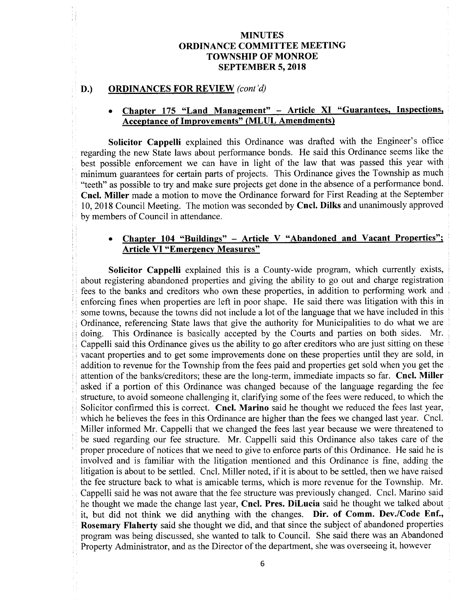#### D.) ORDINANCES FOR REVIEW (cont'd)

## Chapter 175 "Land Management" - Article XI "Guarantees, Inspections, Acceptance of Improvements" ( MLUL Amendments)

Solicitor Cappelli explained this Ordinance was drafted with the Engineer's office regarding the new State laws about performance bonds. He said this Ordinance seems like the best possible enforcement we can have in light of the law that was passed this year with minimum guarantees for certain parts of projects. This Ordinance gives the Township as much "teeth" as possible to try and make sure projects get done in the absence of a performance bond. Cncl. Miller made a motion to move the Ordinance forward for First Reading at the September 10, 2018 Council Meeting. The motion was seconded by Cncl. Dilks and unanimously approved by members of Council in attendance.

## Chapter  $104$  "Buildings" – Article V "Abandoned and Vacant Properties"; Article VI "Emergency Measures"

Solicitor Cappelli explained this is a County-wide program, which currently exists, about registering abandoned properties and giving the ability to go out and charge registration fees to the banks and creditors who own these properties, in addition to performing work and enforcing fines when properties are left in poor shape. He said there was litigation with this in some towns, because the towns did not include <sup>a</sup> lot of the language that we have included in this Ordinance, referencing State laws that give the authority for Municipalities to do what we are doing. This Ordinance is basically accepted by the Courts and parties on both sides. Mr. doing. This Ordinance is basically accepted by the Courts and parties on both sides. Cappelli said this Ordinance gives us the ability to go after creditors who are just sitting on these vacant properties and to get some improvements done on these properties until they are sold, in addition to revenue for the Township from the fees paid and properties get sold when you get the attention of the banks/ creditors; these are the long-term, immediate impacts so far. Cncl. Miller asked if <sup>a</sup> portion of this Ordinance was changed because of the language regarding the fee structure, to avoid someone challenging it, clarifying some of the fees were reduced, to which the Solicitor confirmed this is correct. Cncl. Marino said he thought we reduced the fees last year, which he believes the fees in this Ordinance are higher than the fees we changed last year. Cncl. Miller informed Mr. Cappelli that we changed the fees last year because we were threatened to be sued regarding our fee structure. Mr. Cappelli said this Ordinance also takes care of the proper procedure of notices that we need to give to enforce parts of this Ordinance. He said he is involved and is familiar with the litigation mentioned and this Ordinance is fine, adding the litigation is about to be settled. Cncl. Miller noted, if it is about to be settled, then we have raised the fee structure back to what is amicable terms, which is more revenue for the Township. Mr. Cappelli said he was not aware that the fee structure was previously changed. Cncl. Marino said he thought we made the change last year, Cncl. Pres. DiLucia said he thought we talked about it, but did not think we did anything with the changes. Dir. of Comm. Dev./Code Enf., Rosemary Flaherty said she thought we did, and that since the subject of abandoned properties program was being discussed, she wanted to talk to Council. She said there was an Abandoned Property Administrator, and as the Director of the department, she was overseeing it, however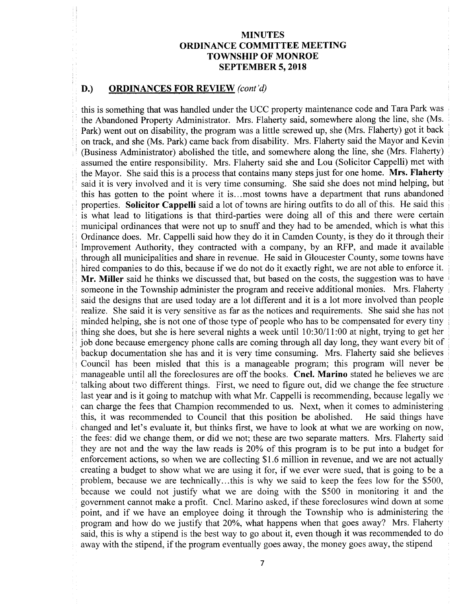#### D.) ORDINANCES FOR REVIEW (cont'd)

this is something that was handled under the UCC property maintenance code and Tara Park was the Abandoned Property Administrator. Mrs. Flaherty said, somewhere along the line, she ( Ms. Park) went out on disability, the program was a little screwed up, she (Mrs. Flaherty) got it back on track, and she ( Ms. Park) came back from disability. Mrs. Flaherty said the Mayor and Kevin Business Administrator) abolished the title, and somewhere along the line, she ( Mrs. Flaherty) assumed the entire responsibility. Mrs. Flaherty said she and Lou ( Solicitor Cappelli) met with the Mayor. She said this is a process that contains many steps just for one home. Mrs. Flaherty said it is very involved and it is very time consuming. She said she does not mind helping, but this has gotten to the point where it is... most towns have a department that runs abandoned properties. Solicitor Cappelli said <sup>a</sup> lot of towns are hiring outfits to do all of this. He said this is what lead to litigations is that third-parties were doing all of this and there were certain municipal ordinances that were not up to snuff and they had to be amended, which is what this Ordinance does. Mr. Cappelli said how they do it in Camden County, is they do it through their Improvement Authority, they contracted with a company, by an RFP, and made it available through all municipalities and share in revenue. He said in Gloucester County, some towns have hired companies to do this, because if we do not do it exactly right, we are not able to enforce it. Mr. Miller said he thinks we discussed that, but based on the costs, the suggestion was to have someone in the Township administer the program and receive additional monies. Mrs. Flaherty said the designs that are used today are a lot different and it is a lot more involved than people realize. She said it is very sensitive as far as the notices and requirements. She said she has not minded helping, she is not one of those type of people who has to be compensated for every tiny thing she does, but she is here several nights a week until  $10:30/11:00$  at night, trying to get her job done because emergency phone calls are coming through all day long, they want every bit of backup documentation she has and it is very time consuming. Mrs. Flaherty said she believes Council has been misled that this is a manageable program; this program will never be manageable until all the foreclosures are off the books. Cncl. Marino stated he believes we are talking about two different things. First, we need to figure out, did we change the fee structure last year and is it going to matchup with what Mr. Cappelli is recommending, because legally we can charge the fees that Champion recommended to us. Next, when it comes to administering this, it was recommended to Council that this position be abolished. He said things have this, it was recommended to Council that this position be abolished. changed and let's evaluate it, but thinks first, we have to look at what we are working on now, the fees: did we change them, or did we not; these are two separate matters. Mrs. Flaherty said they are not and the way the law reads is 20% of this program is to be put into <sup>a</sup> budget for enforcement actions, so when we are collecting \$1.6 million in revenue, and we are not actually creating <sup>a</sup> budget to show what we are using it for, if we ever were sued, that is going to be <sup>a</sup> problem, because we are technically...this is why we said to keep the fees low for the \$500, because we could not justify what we are doing with the \$500 in monitoring it and the government cannot make <sup>a</sup> profit. Cncl. Marino asked, if these foreclosures wind down at some point, and if we have an employee doing it through the Township who is administering the program and how do we justify that 20%, what happens when that goes away? Mrs. Flaherty said, this is why a stipend is the best way to go about it, even though it was recommended to do away with the stipend, if the program eventually goes away, the money goes away, the stipend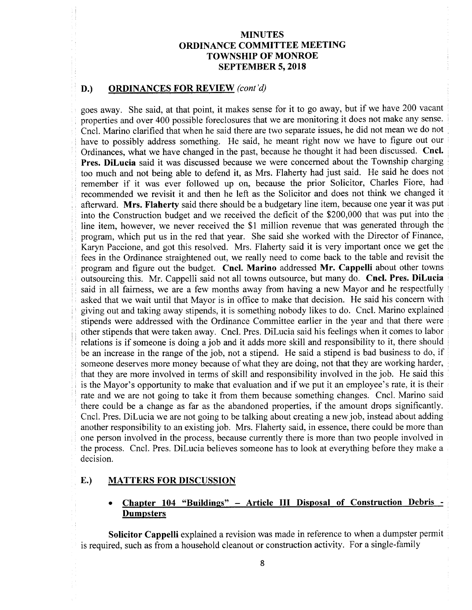#### D.) ORDINANCES FOR REVIEW (cont'd)

goes away. She said, at that point, it makes sense for it to go away, but if we have <sup>200</sup> vacant properties and over 400 possible foreclosures that we are monitoring it does not make any sense. Cncl. Marino clarified that when he said there are two separate issues, he did not mean we do not have to possibly address something. He said, he meant right now we have to figure out our Ordinances, what we have changed in the past, because he thought it had been discussed. Cncl. Pres. DiLucia said it was discussed because we were concerned about the Township charging too much and not being able to defend it, as Mrs. Flaherty had just said. He said he does not remember if it was ever followed up on, because the prior Solicitor, Charles Fiore, had recommended we revisit it and then he left as the Solicitor and does not think we changed it afterward. Mrs. Flaherty said there should be a budgetary line item, because one year it was put into the Construction budget and we received the deficit of the \$200,000 that was put into the line item, however, we never received the \$1 million revenue that was generated through the program, which put us in the red that year. She said she worked with the Director of Finance, Karyn Paccione, and got this resolved. Mrs. Flaherty said it is very important once we get the fees in the Ordinance straightened out, we really need to come back to the table and revisit the program and figure out the budget. Cncl. Marino addressed Mr. Cappelli about other towns outsourcing this. Mr. Cappelli said not all towns outsource, but many do. Cncl. Pres. DiLucia said in all fairness, we are a few months away from having a new Mayor and he respectfully asked that we wait until that Mayor is in office to make that decision. He said his concern with giving out and taking away stipends, it is something nobody likes to do. Cncl. Marino explained stipends were addressed with the Ordinance Committee earlier in the year and that there were other stipends that were taken away. Cncl. Pres. DiLucia said his feelings when it comes to labor relations is if someone is doing <sup>a</sup> job and it adds more skill and responsibility to it, there should be an increase in the range of the job, not <sup>a</sup> stipend. He said <sup>a</sup> stipend is bad business to do, if someone deserves more money because of what they are doing, not that they are working harder, that they are more involved in terms of skill and responsibility involved in the job. He said this is the Mayor's opportunity to make that evaluation and if we put it an employee's rate, it is their rate and we are not going to take it from them because something changes. Cncl. Marino said there could be <sup>a</sup> change as far as the abandoned properties, if the amount drops significantly. Cncl. Pres. DiLucia we are not going to be talking about creating a new job, instead about adding another responsibility to an existing job. Mrs. Flaherty said, in essence, there could be more than one person involved in the process, because currently there is more than two people involved in the process. Cncl. Pres. DiLucia believes someone has to look at everything before they make <sup>a</sup> decision.

#### E.) MATTERS FOR DISCUSSION

#### Chapter 104 "Buildings" - Article III Disposal of Construction Debris - $\bullet$ Dumpsters

Solicitor Cappelli explained a revision was made in reference to when a dumpster permit is required, such as from a household cleanout or construction activity. For a single-family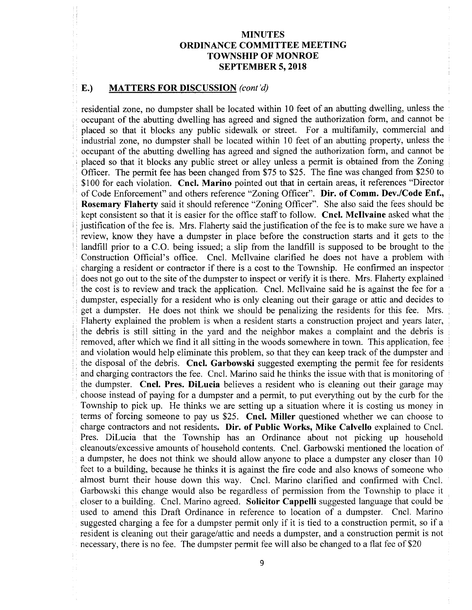#### E.) MATTERS FOR DISCUSSION (cont'd)

residential zone, no dumpster shall be located within <sup>10</sup> feet of an abutting dwelling, unless the occupant of the abutting dwelling has agreed and signed the authorization form, and cannot be placed so that it blocks any public sidewalk or street. For <sup>a</sup> multifamily, commercial and industrial zone, no dumpster shall be located within <sup>10</sup> feet of an abutting property, unless the occupant of the abutting dwelling has agreed and signed the authorization form, and cannot be placed so that it blocks any public street or alley unless a permit is obtained from the Zoning Officer. The permit fee has been changed from \$75 to \$25. The fine was changed from \$250 to \$100 for each violation. Cncl. Marino pointed out that in certain areas, it references "Director of Code Enforcement" and others reference "Zoning Officer". Dir. of Comm. Dev./Code Enf., Rosemary Flaherty said it should reference "Zoning Officer". She also said the fees should be kept consistent so that it is easier for the office staff to follow. Cncl. Mcllvaine asked what the justification of the fee is. Mrs. Flaherty said the justification of the fee is to make sure we have a review, know they have a dumpster in place before the construction starts and it gets to the landfill prior to a C.O. being issued; a slip from the landfill is supposed to be brought to the Construction Official's office. Cncl. McIlvaine clarified he does not have a problem with charging <sup>a</sup> resident or contractor if there is <sup>a</sup> cost to the Township. He confirmed an inspector does not go out to the site of the dumpster to inspect or verify it is there. Mrs. Flaherty explained the cost is to review and track the application. Cncl. Mcllvaine said he is against the fee for a dumpster, especially for a resident who is only cleaning out their garage or attic and decides to get <sup>a</sup> dumpster. He does not think we should be penalizing the residents for this fee. Mrs. Flaherty explained the problem is when a resident starts a construction project and years later, the debris is still sitting in the yard and the neighbor makes a complaint and the debris is removed, after which we find it all sitting in the woods somewhere in town. This application, fee and violation would help eliminate this problem, so that they can keep track of the dumpster and the disposal of the debris. Cncl. Garbowski suggested exempting the permit fee for residents and charging contractors the fee. Cncl. Marino said he thinks the issue with that is monitoring of the dumpster. Cncl. Pres. DiLucia believes <sup>a</sup> resident who is cleaning out their garage may choose instead of paying for <sup>a</sup> dumpster and <sup>a</sup> permit, to put everything out by the curb for the Township to pick up. He thinks we are setting up <sup>a</sup> situation where it is costing us money in terms of forcing someone to pay us \$25. Cncl. Miller questioned whether we can choose to charge contractors and not residents. Dir. of Public Works, Mike Calvello explained to Cncl. Pres. DiLucia that the Township has an Ordinance about not picking up household cleanouts/ excessive amounts of household contents. Cncl. Garbowski mentioned the location of a dumpster, he does not think we should allow anyone to place a dumpster any closer than 10 feet to a building, because he thinks it is against the fire code and also knows of someone who almost burnt their house down this way. Cncl. Marino clarified and confirmed with Cncl. Garbowski this change would also be regardless of permission from the Township to place it closer to a building. Cncl. Marino agreed. Solicitor Cappelli suggested language that could be used to amend this Draft Ordinance in reference to location of a dumpster. Cncl. Marino suggested charging <sup>a</sup> fee for <sup>a</sup> dumpster permit only if it is tied to <sup>a</sup> construction permit, so if <sup>a</sup> resident is cleaning out their garage/attic and needs a dumpster, and a construction permit is not necessary, there is no fee. The dumpster permit fee will also be changed to a flat fee of \$20